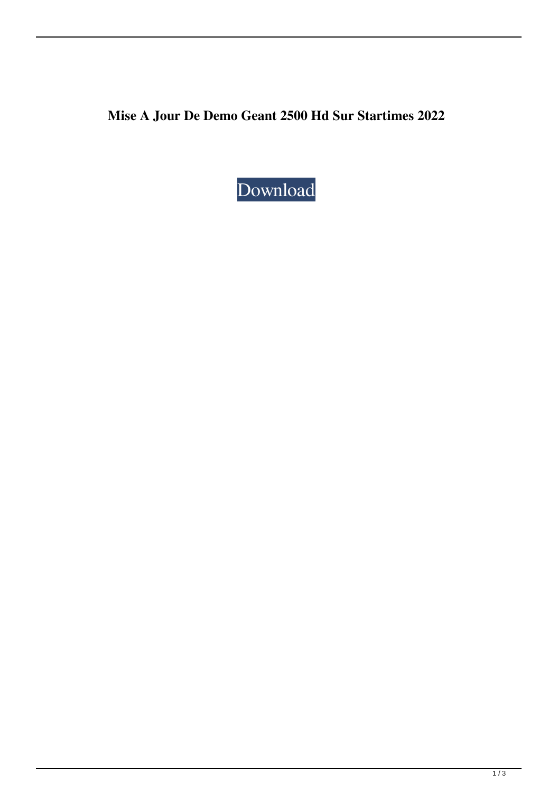Mise A Jour De Demo Geant 2500 Hd Sur Startimes 2022

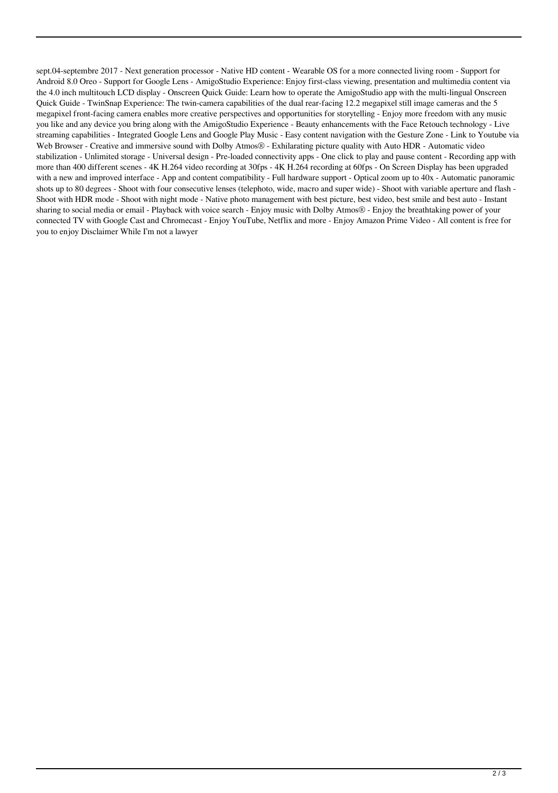sept.04-septembre 2017 - Next generation processor - Native HD content - Wearable OS for a more connected living room - Support for Android 8.0 Oreo - Support for Google Lens - AmigoStudio Experience: Enjoy first-class viewing, presentation and multimedia content via the 4.0 inch multitouch LCD display - Onscreen Quick Guide: Learn how to operate the AmigoStudio app with the multi-lingual Onscreen Quick Guide - TwinSnap Experience: The twin-camera capabilities of the dual rear-facing 12.2 megapixel still image cameras and the 5 megapixel front-facing camera enables more creative perspectives and opportunities for storytelling - Enjoy more freedom with any music you like and any device you bring along with the AmigoStudio Experience - Beauty enhancements with the Face Retouch technology - Live streaming capabilities - Integrated Google Lens and Google Play Music - Easy content navigation with the Gesture Zone - Link to Youtube via Web Browser - Creative and immersive sound with Dolby Atmos® - Exhilarating picture quality with Auto HDR - Automatic video stabilization - Unlimited storage - Universal design - Pre-loaded connectivity apps - One click to play and pause content - Recording app with more than 400 different scenes - 4K H.264 video recording at 30fps - 4K H.264 recording at 60fps - On Screen Display has been upgraded with a new and improved interface - App and content compatibility - Full hardware support - Optical zoom up to 40x - Automatic panoramic shots up to 80 degrees - Shoot with four consecutive lenses (telephoto, wide, macro and super wide) - Shoot with variable aperture and flash - Shoot with HDR mode - Shoot with night mode - Native photo management with best picture, best video, best smile and best auto - Instant sharing to social media or email - Playback with voice search - Enjoy music with Dolby Atmos® - Enjoy the breathtaking power of your connected TV with Google Cast and Chromecast - Enjoy YouTube, Netflix and more - Enjoy Amazon Prime Video - All content is free for you to enjoy Disclaimer While I'm not a lawyer